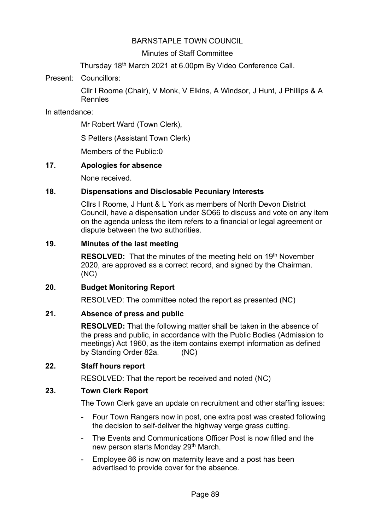## BARNSTAPLE TOWN COUNCIL

### Minutes of Staff Committee

Thursday 18th March 2021 at 6.00pm By Video Conference Call.

Present: Councillors:

Cllr I Roome (Chair), V Monk, V Elkins, A Windsor, J Hunt, J Phillips & A Rennles

In attendance:

Mr Robert Ward (Town Clerk),

S Petters (Assistant Town Clerk)

Members of the Public:0

### **17. Apologies for absence**

None received.

# **18. Dispensations and Disclosable Pecuniary Interests**

Cllrs I Roome, J Hunt & L York as members of North Devon District Council, have a dispensation under SO66 to discuss and vote on any item on the agenda unless the item refers to a financial or legal agreement or dispute between the two authorities.

#### **19. Minutes of the last meeting**

**RESOLVED:** That the minutes of the meeting held on 19<sup>th</sup> November 2020, are approved as a correct record, and signed by the Chairman. (NC)

#### **20. Budget Monitoring Report**

RESOLVED: The committee noted the report as presented (NC)

#### **21. Absence of press and public**

**RESOLVED:** That the following matter shall be taken in the absence of the press and public, in accordance with the Public Bodies (Admission to meetings) Act 1960, as the item contains exempt information as defined by Standing Order 82a. (NC)

#### **22. Staff hours report**

RESOLVED: That the report be received and noted (NC)

# **23. Town Clerk Report**

The Town Clerk gave an update on recruitment and other staffing issues:

- Four Town Rangers now in post, one extra post was created following the decision to self-deliver the highway verge grass cutting.
- The Events and Communications Officer Post is now filled and the new person starts Monday 29<sup>th</sup> March.
- Employee 86 is now on maternity leave and a post has been advertised to provide cover for the absence.